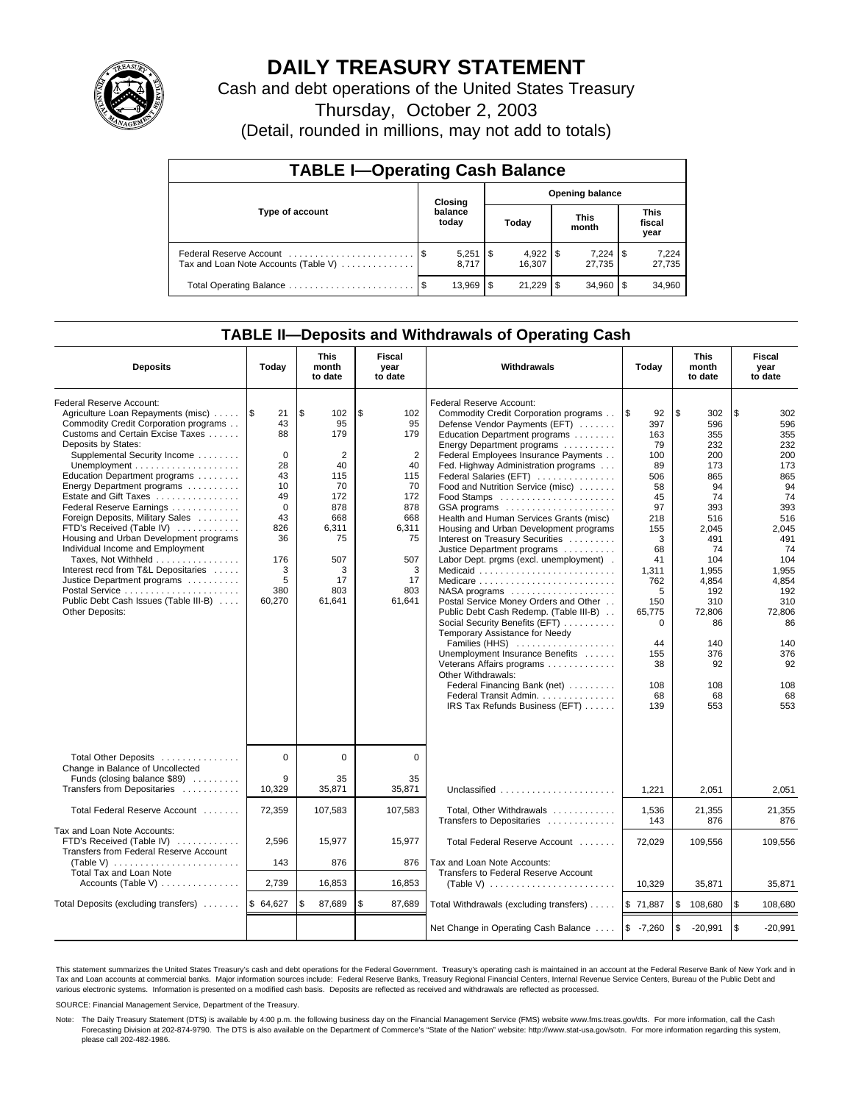

# **DAILY TREASURY STATEMENT**

Cash and debt operations of the United States Treasury

Thursday, October 2, 2003

(Detail, rounded in millions, may not add to totals)

| <b>TABLE I-Operating Cash Balance</b>                           |                                   |        |      |        |     |                 |                               |                 |  |  |
|-----------------------------------------------------------------|-----------------------------------|--------|------|--------|-----|-----------------|-------------------------------|-----------------|--|--|
|                                                                 | <b>Opening balance</b><br>Closing |        |      |        |     |                 |                               |                 |  |  |
| Type of account                                                 | balance<br>today                  |        |      | Today  |     | This<br>month   | <b>This</b><br>fiscal<br>year |                 |  |  |
| Federal Reserve Account<br>Tax and Loan Note Accounts (Table V) |                                   | 8.717  |      | 16.307 |     | 7,224<br>27.735 | 1\$                           | 7,224<br>27,735 |  |  |
|                                                                 |                                   | 13.969 | - \$ | 21,229 | 1\$ | 34.960          |                               | 34,960          |  |  |

## **TABLE II—Deposits and Withdrawals of Operating Cash**

| <b>Deposits</b>                                                                                                                                                                                                                                                                                                                                                                                                                                                                                                                                                                                                                | Today                                                                                                                         | This<br>Fiscal<br>Withdrawals<br>month<br>year<br>to date<br>to date                                                               |                                                                                                                                    |                                                                                                                                                                                                                                                                                                                                                                                                                                                                                                                                                                                                                                                                                                                                                                                                                                                                                                                                        | Today                                                                                                                                                                                       | This<br>month<br>to date                                                                                                                                                                           | Fiscal<br>year<br>to date                                                                                                                                                                          |
|--------------------------------------------------------------------------------------------------------------------------------------------------------------------------------------------------------------------------------------------------------------------------------------------------------------------------------------------------------------------------------------------------------------------------------------------------------------------------------------------------------------------------------------------------------------------------------------------------------------------------------|-------------------------------------------------------------------------------------------------------------------------------|------------------------------------------------------------------------------------------------------------------------------------|------------------------------------------------------------------------------------------------------------------------------------|----------------------------------------------------------------------------------------------------------------------------------------------------------------------------------------------------------------------------------------------------------------------------------------------------------------------------------------------------------------------------------------------------------------------------------------------------------------------------------------------------------------------------------------------------------------------------------------------------------------------------------------------------------------------------------------------------------------------------------------------------------------------------------------------------------------------------------------------------------------------------------------------------------------------------------------|---------------------------------------------------------------------------------------------------------------------------------------------------------------------------------------------|----------------------------------------------------------------------------------------------------------------------------------------------------------------------------------------------------|----------------------------------------------------------------------------------------------------------------------------------------------------------------------------------------------------|
| Federal Reserve Account:<br>Agriculture Loan Repayments (misc)<br>Commodity Credit Corporation programs<br>Customs and Certain Excise Taxes<br>Deposits by States:<br>Supplemental Security Income<br>Education Department programs<br>Energy Department programs<br>Estate and Gift Taxes<br>Federal Reserve Earnings<br>Foreign Deposits, Military Sales<br>FTD's Received (Table IV)<br>Housing and Urban Development programs<br>Individual Income and Employment<br>Taxes, Not Withheld<br>Interest recd from T&L Depositaries<br>Justice Department programs<br>Public Debt Cash Issues (Table III-B)<br>Other Deposits: | 1\$<br>21<br>43<br>88<br>$\Omega$<br>28<br>43<br>10<br>49<br>$\mathbf 0$<br>43<br>826<br>36<br>176<br>3<br>5<br>380<br>60,270 | \$<br>102<br>95<br>179<br>$\overline{2}$<br>40<br>115<br>70<br>172<br>878<br>668<br>6,311<br>75<br>507<br>3<br>17<br>803<br>61,641 | \$<br>102<br>95<br>179<br>$\overline{2}$<br>40<br>115<br>70<br>172<br>878<br>668<br>6.311<br>75<br>507<br>3<br>17<br>803<br>61,641 | Federal Reserve Account:<br>Commodity Credit Corporation programs<br>Defense Vendor Payments (EFT)<br>Education Department programs<br>Energy Department programs<br>Federal Employees Insurance Payments<br>Fed. Highway Administration programs<br>Federal Salaries (EFT)<br>Food and Nutrition Service (misc)<br>GSA programs<br>Health and Human Services Grants (misc)<br>Housing and Urban Development programs<br>Interest on Treasury Securities<br>Justice Department programs<br>Labor Dept. prgms (excl. unemployment).<br>Medicaid<br>Medicare<br>NASA programs<br>Postal Service Money Orders and Other<br>Public Debt Cash Redemp. (Table III-B)<br>Social Security Benefits (EFT)<br>Temporary Assistance for Needy<br>Families (HHS)<br>Unemployment Insurance Benefits<br>Veterans Affairs programs<br>Other Withdrawals:<br>Federal Financing Bank (net)<br>Federal Transit Admin.<br>IRS Tax Refunds Business (EFT) | 1\$<br>92<br>397<br>163<br>79<br>100<br>89<br>506<br>58<br>45<br>97<br>218<br>155<br>3<br>68<br>41<br>1,311<br>762<br>5<br>150<br>65,775<br>$\Omega$<br>44<br>155<br>38<br>108<br>68<br>139 | \$<br>302<br>596<br>355<br>232<br>200<br>173<br>865<br>94<br>74<br>393<br>516<br>2.045<br>491<br>74<br>104<br>1,955<br>4,854<br>192<br>310<br>72,806<br>86<br>140<br>376<br>92<br>108<br>68<br>553 | \$<br>302<br>596<br>355<br>232<br>200<br>173<br>865<br>94<br>74<br>393<br>516<br>2.045<br>491<br>74<br>104<br>1,955<br>4,854<br>192<br>310<br>72.806<br>86<br>140<br>376<br>92<br>108<br>68<br>553 |
| Total Other Deposits<br>Change in Balance of Uncollected<br>Funds (closing balance \$89)<br>Transfers from Depositaries                                                                                                                                                                                                                                                                                                                                                                                                                                                                                                        | $\mathbf 0$<br>9<br>10,329                                                                                                    | 0<br>35<br>35,871                                                                                                                  | $\mathbf 0$<br>35<br>35.871                                                                                                        | Unclassified                                                                                                                                                                                                                                                                                                                                                                                                                                                                                                                                                                                                                                                                                                                                                                                                                                                                                                                           | 1,221                                                                                                                                                                                       | 2,051                                                                                                                                                                                              | 2.051                                                                                                                                                                                              |
| Total Federal Reserve Account                                                                                                                                                                                                                                                                                                                                                                                                                                                                                                                                                                                                  | 72,359                                                                                                                        | 107,583                                                                                                                            | 107,583                                                                                                                            | Total, Other Withdrawals<br>Transfers to Depositaries                                                                                                                                                                                                                                                                                                                                                                                                                                                                                                                                                                                                                                                                                                                                                                                                                                                                                  | 1,536<br>143                                                                                                                                                                                | 21,355<br>876                                                                                                                                                                                      | 21,355<br>876                                                                                                                                                                                      |
| Tax and Loan Note Accounts:<br>FTD's Received (Table IV)<br>Transfers from Federal Reserve Account<br>(Table V) $\ldots \ldots \ldots \ldots \ldots \ldots$<br><b>Total Tax and Loan Note</b>                                                                                                                                                                                                                                                                                                                                                                                                                                  | 2,596<br>143                                                                                                                  | 15,977<br>876                                                                                                                      | 15,977<br>876                                                                                                                      | Total Federal Reserve Account<br>Tax and Loan Note Accounts:<br>Transfers to Federal Reserve Account                                                                                                                                                                                                                                                                                                                                                                                                                                                                                                                                                                                                                                                                                                                                                                                                                                   | 72.029                                                                                                                                                                                      | 109.556                                                                                                                                                                                            | 109.556                                                                                                                                                                                            |
| Accounts (Table V) $\dots \dots \dots \dots$                                                                                                                                                                                                                                                                                                                                                                                                                                                                                                                                                                                   | 2,739                                                                                                                         | 16,853                                                                                                                             | 16,853                                                                                                                             | (Table V) $\ldots \ldots \ldots \ldots \ldots \ldots \ldots$                                                                                                                                                                                                                                                                                                                                                                                                                                                                                                                                                                                                                                                                                                                                                                                                                                                                           | 10,329                                                                                                                                                                                      | 35,871                                                                                                                                                                                             | 35,871                                                                                                                                                                                             |
| Total Deposits (excluding transfers)                                                                                                                                                                                                                                                                                                                                                                                                                                                                                                                                                                                           | \$64,627                                                                                                                      | \$<br>87,689                                                                                                                       | \$<br>87,689                                                                                                                       | Total Withdrawals (excluding transfers)                                                                                                                                                                                                                                                                                                                                                                                                                                                                                                                                                                                                                                                                                                                                                                                                                                                                                                | \$71,887                                                                                                                                                                                    | \$<br>108,680                                                                                                                                                                                      | \$<br>108,680                                                                                                                                                                                      |
|                                                                                                                                                                                                                                                                                                                                                                                                                                                                                                                                                                                                                                |                                                                                                                               |                                                                                                                                    |                                                                                                                                    | Net Change in Operating Cash Balance                                                                                                                                                                                                                                                                                                                                                                                                                                                                                                                                                                                                                                                                                                                                                                                                                                                                                                   | $$ -7,260$                                                                                                                                                                                  | \$<br>$-20,991$                                                                                                                                                                                    | $\sqrt{3}$<br>$-20,991$                                                                                                                                                                            |

This statement summarizes the United States Treasury's cash and debt operations for the Federal Government. Treasury's operating cash is maintained in an account at the Federal Reserve Bank of New York and in Tax and Loan accounts at commercial banks. Major information sources include: Federal Reserve Banks, Treasury Regional Financial Centers, Internal Revenue Service Centers, Bureau of the Public Debt and<br>various electronic s

SOURCE: Financial Management Service, Department of the Treasury.

Note: The Daily Treasury Statement (DTS) is available by 4:00 p.m. the following business day on the Financial Management Service (FMS) website www.fms.treas.gov/dts. For more information, call the Cash Forecasting Division at 202-874-9790. The DTS is also available on the Department of Commerce's "State of the Nation" website: http://www.stat-usa.gov/sotn. For more information regarding this system, please call 202-482-1986.